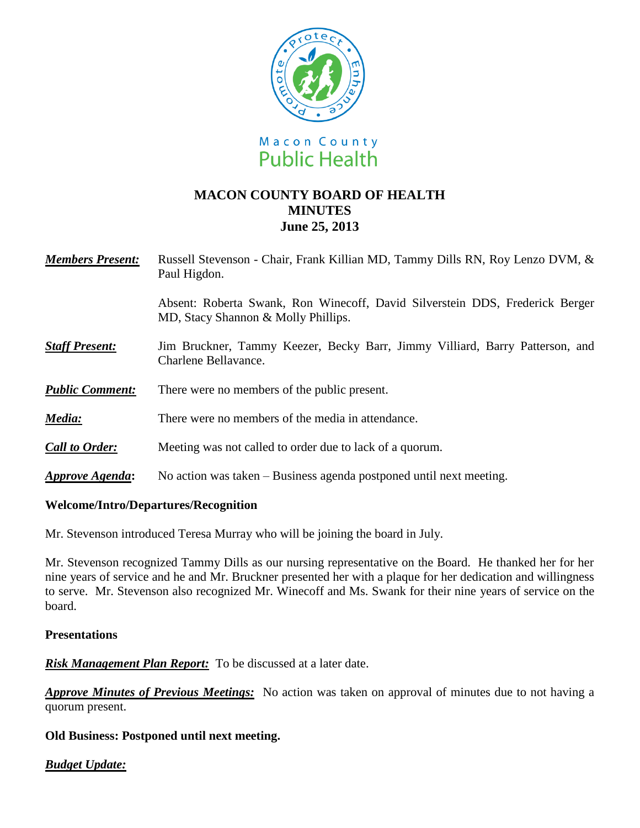

# **MACON COUNTY BOARD OF HEALTH MINUTES June 25, 2013**

| <b>Members Present:</b>       | Russell Stevenson - Chair, Frank Killian MD, Tammy Dills RN, Roy Lenzo DVM, &<br>Paul Higdon.                       |
|-------------------------------|---------------------------------------------------------------------------------------------------------------------|
|                               | Absent: Roberta Swank, Ron Winecoff, David Silverstein DDS, Frederick Berger<br>MD, Stacy Shannon & Molly Phillips. |
| <b>Staff Present:</b>         | Jim Bruckner, Tammy Keezer, Becky Barr, Jimmy Villiard, Barry Patterson, and<br>Charlene Bellavance.                |
| <b>Public Comment:</b>        | There were no members of the public present.                                                                        |
| Media:                        | There were no members of the media in attendance.                                                                   |
| <b>Call to Order:</b>         | Meeting was not called to order due to lack of a quorum.                                                            |
| <i><b>Approve Agenda:</b></i> | No action was taken – Business agenda postponed until next meeting.                                                 |

#### **Welcome/Intro/Departures/Recognition**

Mr. Stevenson introduced Teresa Murray who will be joining the board in July.

Mr. Stevenson recognized Tammy Dills as our nursing representative on the Board. He thanked her for her nine years of service and he and Mr. Bruckner presented her with a plaque for her dedication and willingness to serve. Mr. Stevenson also recognized Mr. Winecoff and Ms. Swank for their nine years of service on the board.

#### **Presentations**

*Risk Management Plan Report:*To be discussed at a later date.

*Approve Minutes of Previous Meetings:*No action was taken on approval of minutes due to not having a quorum present.

### **Old Business: Postponed until next meeting.**

### *Budget Update:*